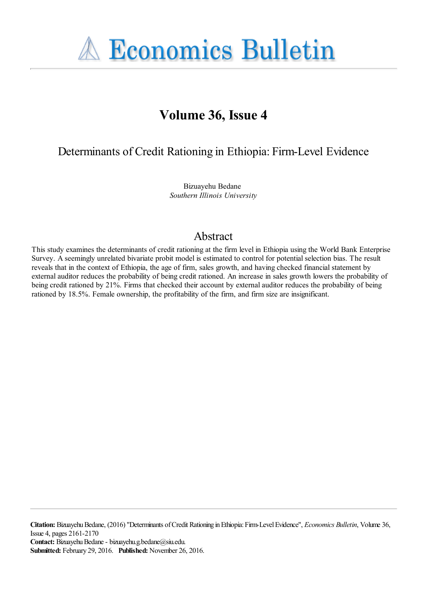**A Economics Bulletin** 

# **Volume 36, Issue 4**

Determinants of Credit Rationing in Ethiopia: Firm-Level Evidence

Bizuayehu Bedane *Southern Illinois University*

# Abstract

This study examines the determinants of credit rationing at the firm level in Ethiopia using the World Bank Enterprise Survey. A seemingly unrelated bivariate probit model is estimated to control for potential selection bias. The result reveals that in the context of Ethiopia, the age of firm, sales growth, and having checked financial statement by external auditor reduces the probability of being credit rationed. An increase in sales growth lowers the probability of being credit rationed by 21%. Firms that checked their account by external auditor reduces the probability of being rationed by 18.5%. Female ownership, the profitability of the firm, and firm size are insignificant.

**Citation:** Bizuayehu Bedane, (2016) ''Determinants of Credit Rationing in Ethiopia: Firm-Level Evidence'', *Economics Bulletin*, Volume 36, Issue 4, pages 2161-2170 **Contact:** Bizuayehu Bedane - bizuayehu.g.bedane@siu.edu. **Submitted:** February 29, 2016. **Published:** November 26, 2016.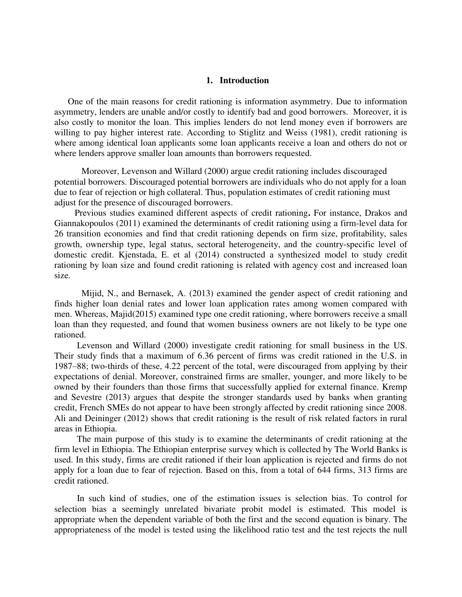#### **1. Introduction**

 One of the main reasons for credit rationing is information asymmetry. Due to information asymmetry, lenders are unable and/or costly to identify bad and good borrowers. Moreover, it is also costly to monitor the loan. This implies lenders do not lend money even if borrowers are willing to pay higher interest rate. According to Stiglitz and Weiss (1981), credit rationing is where among identical loan applicants some loan applicants receive a loan and others do not or where lenders approve smaller loan amounts than borrowers requested.

 Moreover, Levenson and Willard (2000) argue credit rationing includes discouraged potential borrowers. Discouraged potential borrowers are individuals who do not apply for a loan due to fear of rejection or high collateral. Thus, population estimates of credit rationing must adjust for the presence of discouraged borrowers.

 Previous studies examined different aspects of credit rationing**.** For instance, Drakos and Giannakopoulos (2011) examined the determinants of credit rationing using a firm-level data for 26 transition economies and find that credit rationing depends on firm size, profitability, sales growth, ownership type, legal status, sectoral heterogeneity, and the country-specific level of domestic credit. Kjenstada, E. et al (2014) constructed a synthesized model to study credit rationing by loan size and found credit rationing is related with agency cost and increased loan size.

Mijid, N., and Bernasek, A. (2013) examined the gender aspect of credit rationing and finds higher loan denial rates and lower loan application rates among women compared with men. Whereas, Majid(2015) examined type one credit rationing, where borrowers receive a small loan than they requested, and found that women business owners are not likely to be type one rationed.

 Levenson and Willard (2000) investigate credit rationing for small business in the US. Their study finds that a maximum of 6.36 percent of firms was credit rationed in the U.S. in 1987–88; two-thirds of these, 4.22 percent of the total, were discouraged from applying by their expectations of denial. Moreover, constrained firms are smaller, younger, and more likely to be owned by their founders than those firms that successfully applied for external finance. Kremp and Sevestre (2013) argues that despite the stronger standards used by banks when granting credit, French SMEs do not appear to have been strongly affected by credit rationing since 2008. Ali and Deininger (2012) shows that credit rationing is the result of risk related factors in rural areas in Ethiopia.

 The main purpose of this study is to examine the determinants of credit rationing at the firm level in Ethiopia. The Ethiopian enterprise survey which is collected by The World Banks is used. In this study, firms are credit rationed if their loan application is rejected and firms do not apply for a loan due to fear of rejection. Based on this, from a total of 644 firms, 313 firms are credit rationed.

 In such kind of studies, one of the estimation issues is selection bias. To control for selection bias a seemingly unrelated bivariate probit model is estimated. This model is appropriate when the dependent variable of both the first and the second equation is binary. The appropriateness of the model is tested using the likelihood ratio test and the test rejects the null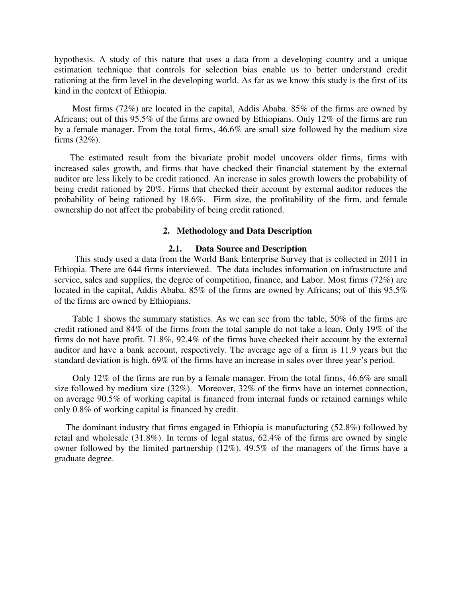hypothesis. A study of this nature that uses a data from a developing country and a unique estimation technique that controls for selection bias enable us to better understand credit rationing at the firm level in the developing world. As far as we know this study is the first of its kind in the context of Ethiopia.

 Most firms (72%) are located in the capital, Addis Ababa. 85% of the firms are owned by Africans; out of this 95.5% of the firms are owned by Ethiopians. Only 12% of the firms are run by a female manager. From the total firms, 46.6% are small size followed by the medium size firms (32%).

 The estimated result from the bivariate probit model uncovers older firms, firms with increased sales growth, and firms that have checked their financial statement by the external auditor are less likely to be credit rationed. An increase in sales growth lowers the probability of being credit rationed by 20%. Firms that checked their account by external auditor reduces the probability of being rationed by 18.6%. Firm size, the profitability of the firm, and female ownership do not affect the probability of being credit rationed.

#### **2. Methodology and Data Description**

#### **2.1. Data Source and Description**

 This study used a data from the World Bank Enterprise Survey that is collected in 2011 in Ethiopia. There are 644 firms interviewed. The data includes information on infrastructure and service, sales and supplies, the degree of competition, finance, and Labor. Most firms (72%) are located in the capital, Addis Ababa. 85% of the firms are owned by Africans; out of this 95.5% of the firms are owned by Ethiopians.

 Table 1 shows the summary statistics. As we can see from the table, 50% of the firms are credit rationed and 84% of the firms from the total sample do not take a loan. Only 19% of the firms do not have profit. 71.8%, 92.4% of the firms have checked their account by the external auditor and have a bank account, respectively. The average age of a firm is 11.9 years but the standard deviation is high. 69% of the firms have an increase in sales over three year's period.

 Only 12% of the firms are run by a female manager. From the total firms, 46.6% are small size followed by medium size (32%). Moreover, 32% of the firms have an internet connection, on average 90.5% of working capital is financed from internal funds or retained earnings while only 0.8% of working capital is financed by credit.

 The dominant industry that firms engaged in Ethiopia is manufacturing (52.8%) followed by retail and wholesale (31.8%). In terms of legal status, 62.4% of the firms are owned by single owner followed by the limited partnership (12%). 49.5% of the managers of the firms have a graduate degree.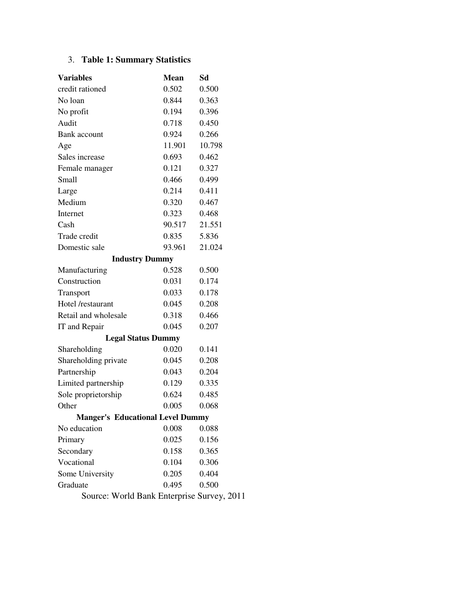## 3. **Table 1: Summary Statistics**

| <b>Variables</b>                           | <b>Mean</b> | Sd     |  |  |
|--------------------------------------------|-------------|--------|--|--|
| credit rationed                            | 0.502       | 0.500  |  |  |
| No loan                                    | 0.844       | 0.363  |  |  |
| No profit                                  | 0.194       | 0.396  |  |  |
| Audit                                      | 0.718       | 0.450  |  |  |
| Bank account                               | 0.924       | 0.266  |  |  |
| Age                                        | 11.901      | 10.798 |  |  |
| Sales increase                             | 0.693       | 0.462  |  |  |
| Female manager                             | 0.121       | 0.327  |  |  |
| Small                                      | 0.466       | 0.499  |  |  |
| Large                                      | 0.214       | 0.411  |  |  |
| Medium                                     | 0.320       | 0.467  |  |  |
| Internet                                   | 0.323       | 0.468  |  |  |
| Cash                                       | 90.517      | 21.551 |  |  |
| Trade credit                               | 0.835       | 5.836  |  |  |
| Domestic sale                              | 93.961      | 21.024 |  |  |
| <b>Industry Dummy</b>                      |             |        |  |  |
| Manufacturing                              | 0.528       | 0.500  |  |  |
| Construction                               | 0.031       | 0.174  |  |  |
| Transport                                  | 0.033       | 0.178  |  |  |
| Hotel /restaurant                          | 0.045       | 0.208  |  |  |
| Retail and wholesale                       | 0.318       | 0.466  |  |  |
| IT and Repair                              | 0.045       | 0.207  |  |  |
| <b>Legal Status Dummy</b>                  |             |        |  |  |
| Shareholding                               | 0.020       | 0.141  |  |  |
| Shareholding private                       | 0.045       | 0.208  |  |  |
| Partnership                                | 0.043       | 0.204  |  |  |
| Limited partnership                        | 0.129       | 0.335  |  |  |
| Sole proprietorship                        | 0.624       | 0.485  |  |  |
| Other                                      | 0.005       | 0.068  |  |  |
| <b>Manger's Educational Level Dummy</b>    |             |        |  |  |
| No education                               | 0.008       | 0.088  |  |  |
| Primary                                    | 0.025       | 0.156  |  |  |
| Secondary                                  | 0.158       | 0.365  |  |  |
| Vocational                                 | 0.104       | 0.306  |  |  |
| Some University                            | 0.205       | 0.404  |  |  |
| Graduate                                   | 0.495       | 0.500  |  |  |
| Source: World Bank Enterprise Survey, 2011 |             |        |  |  |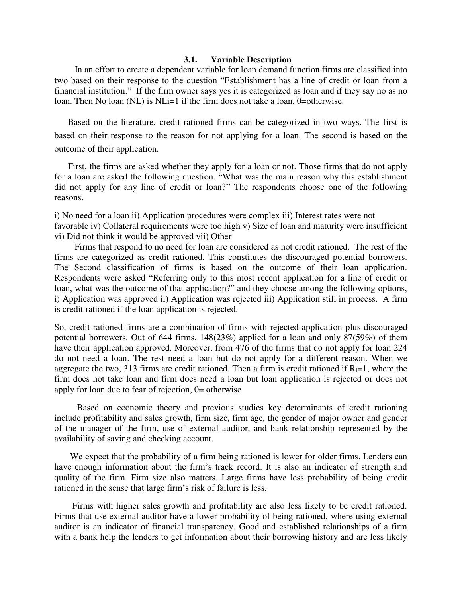#### **3.1. Variable Description**

 In an effort to create a dependent variable for loan demand function firms are classified into two based on their response to the question "Establishment has a line of credit or loan from a financial institution." If the firm owner says yes it is categorized as loan and if they say no as no loan. Then No loan (NL) is NLi=1 if the firm does not take a loan, 0=otherwise.

 Based on the literature, credit rationed firms can be categorized in two ways. The first is based on their response to the reason for not applying for a loan. The second is based on the outcome of their application.

 First, the firms are asked whether they apply for a loan or not. Those firms that do not apply for a loan are asked the following question. "What was the main reason why this establishment did not apply for any line of credit or loan?" The respondents choose one of the following reasons.

i) No need for a loan ii) Application procedures were complex iii) Interest rates were not favorable iv) Collateral requirements were too high v) Size of loan and maturity were insufficient vi) Did not think it would be approved vii) Other

 Firms that respond to no need for loan are considered as not credit rationed. The rest of the firms are categorized as credit rationed. This constitutes the discouraged potential borrowers. The Second classification of firms is based on the outcome of their loan application. Respondents were asked "Referring only to this most recent application for a line of credit or loan, what was the outcome of that application?" and they choose among the following options, i) Application was approved ii) Application was rejected iii) Application still in process. A firm is credit rationed if the loan application is rejected.

So, credit rationed firms are a combination of firms with rejected application plus discouraged potential borrowers. Out of 644 firms, 148(23%) applied for a loan and only 87(59%) of them have their application approved. Moreover, from 476 of the firms that do not apply for loan 224 do not need a loan. The rest need a loan but do not apply for a different reason. When we aggregate the two, 313 firms are credit rationed. Then a firm is credit rationed if  $R_i=1$ , where the firm does not take loan and firm does need a loan but loan application is rejected or does not apply for loan due to fear of rejection, 0= otherwise

 Based on economic theory and previous studies key determinants of credit rationing include profitability and sales growth, firm size, firm age, the gender of major owner and gender of the manager of the firm, use of external auditor, and bank relationship represented by the availability of saving and checking account.

We expect that the probability of a firm being rationed is lower for older firms. Lenders can have enough information about the firm's track record. It is also an indicator of strength and quality of the firm. Firm size also matters. Large firms have less probability of being credit rationed in the sense that large firm's risk of failure is less.

 Firms with higher sales growth and profitability are also less likely to be credit rationed. Firms that use external auditor have a lower probability of being rationed, where using external auditor is an indicator of financial transparency. Good and established relationships of a firm with a bank help the lenders to get information about their borrowing history and are less likely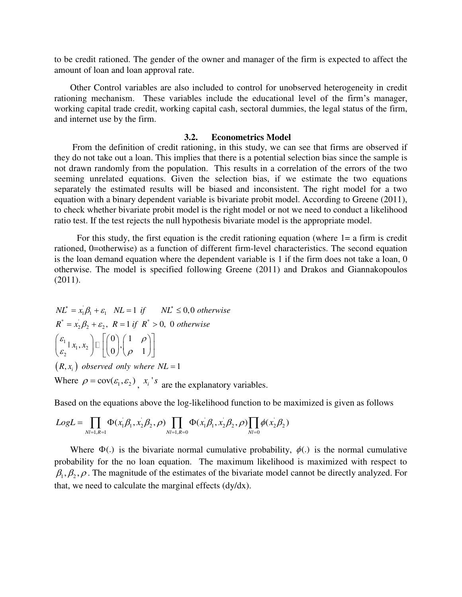to be credit rationed. The gender of the owner and manager of the firm is expected to affect the amount of loan and loan approval rate.

 Other Control variables are also included to control for unobserved heterogeneity in credit rationing mechanism. These variables include the educational level of the firm's manager, working capital trade credit, working capital cash, sectoral dummies, the legal status of the firm, and internet use by the firm.

#### **3.2. Econometrics Model**

 From the definition of credit rationing, in this study, we can see that firms are observed if they do not take out a loan. This implies that there is a potential selection bias since the sample is not drawn randomly from the population. This results in a correlation of the errors of the two seeming unrelated equations. Given the selection bias, if we estimate the two equations separately the estimated results will be biased and inconsistent. The right model for a two equation with a binary dependent variable is bivariate probit model. According to Greene (2011), to check whether bivariate probit model is the right model or not we need to conduct a likelihood ratio test. If the test rejects the null hypothesis bivariate model is the appropriate model.

 For this study, the first equation is the credit rationing equation (where 1= a firm is credit rationed, 0=otherwise) as a function of different firm-level characteristics. The second equation is the loan demand equation where the dependent variable is 1 if the firm does not take a loan, 0 otherwise. The model is specified following Greene (2011) and Drakos and Giannakopoulos (2011).

Where  $\rho = \text{cov}(\varepsilon_1, \varepsilon_2)$ ,  $x_i$ 's are the explanatory variables.  $(R, x_i)$  *observed only* where  $NL = 1$  $NL^* = x_1 \beta_1 + \varepsilon_1$   $NL = 1$  if  $NL^* \leq 0, 0$  otherwise  $R^* = x_2 \beta_2 + \varepsilon_2$ ,  $R = 1$  if  $R^* > 0$ , 0 otherwise  $\frac{1}{2}$  |  $x_1, x_2$  $0 \rangle$  (1)  $|x_1, x_2| \square || \square |$ ,  $0$   $\left/$   $\rho$  1 *<sup>x</sup> <sup>x</sup>*  $\begin{pmatrix} \varepsilon_1 & \varepsilon_2 \ \varepsilon_2 & \varepsilon_3 \end{pmatrix} \Box \begin{pmatrix} 0 \ 0 \end{pmatrix}, \begin{pmatrix} 1 & \rho \ \rho & 1 \end{pmatrix}$ 

Based on the equations above the log-likelihood function to be maximized is given as follows

$$
LogL = \prod_{N=1, R=1} \Phi(x_1 \beta_1, x_2 \beta_2, \rho) \prod_{N=1, R=0} \Phi(x_1 \beta_1, x_2 \beta_2, \rho) \prod_{N=0} \phi(x_2 \beta_2)
$$

Where  $\Phi(.)$  is the bivariate normal cumulative probability,  $\phi(.)$  is the normal cumulative probability for the no loan equation. The maximum likelihood is maximized with respect to  $\beta_1, \beta_2, \rho$ . The magnitude of the estimates of the bivariate model cannot be directly analyzed. For that, we need to calculate the marginal effects (dy/dx).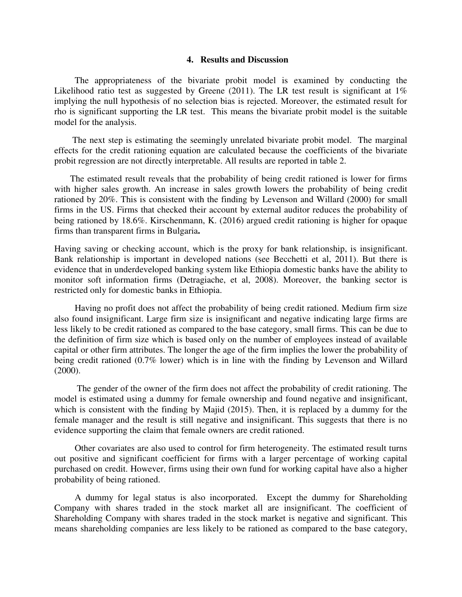#### **4. Results and Discussion**

 The appropriateness of the bivariate probit model is examined by conducting the Likelihood ratio test as suggested by Greene (2011). The LR test result is significant at  $1\%$ implying the null hypothesis of no selection bias is rejected. Moreover, the estimated result for rho is significant supporting the LR test. This means the bivariate probit model is the suitable model for the analysis.

 The next step is estimating the seemingly unrelated bivariate probit model. The marginal effects for the credit rationing equation are calculated because the coefficients of the bivariate probit regression are not directly interpretable. All results are reported in table 2.

 The estimated result reveals that the probability of being credit rationed is lower for firms with higher sales growth. An increase in sales growth lowers the probability of being credit rationed by 20%. This is consistent with the finding by Levenson and Willard (2000) for small firms in the US. Firms that checked their account by external auditor reduces the probability of being rationed by 18.6%. Kirschenmann, K. (2016) argued credit rationing is higher for opaque firms than transparent firms in Bulgaria**.**

Having saving or checking account, which is the proxy for bank relationship, is insignificant. Bank relationship is important in developed nations (see Becchetti et al, 2011). But there is evidence that in underdeveloped banking system like Ethiopia domestic banks have the ability to monitor soft information firms (Detragiache, et al, 2008). Moreover, the banking sector is restricted only for domestic banks in Ethiopia.

 Having no profit does not affect the probability of being credit rationed. Medium firm size also found insignificant. Large firm size is insignificant and negative indicating large firms are less likely to be credit rationed as compared to the base category, small firms. This can be due to the definition of firm size which is based only on the number of employees instead of available capital or other firm attributes. The longer the age of the firm implies the lower the probability of being credit rationed (0.7% lower) which is in line with the finding by Levenson and Willard (2000).

 The gender of the owner of the firm does not affect the probability of credit rationing. The model is estimated using a dummy for female ownership and found negative and insignificant, which is consistent with the finding by Majid (2015). Then, it is replaced by a dummy for the female manager and the result is still negative and insignificant. This suggests that there is no evidence supporting the claim that female owners are credit rationed.

 Other covariates are also used to control for firm heterogeneity. The estimated result turns out positive and significant coefficient for firms with a larger percentage of working capital purchased on credit. However, firms using their own fund for working capital have also a higher probability of being rationed.

 A dummy for legal status is also incorporated. Except the dummy for Shareholding Company with shares traded in the stock market all are insignificant. The coefficient of Shareholding Company with shares traded in the stock market is negative and significant. This means shareholding companies are less likely to be rationed as compared to the base category,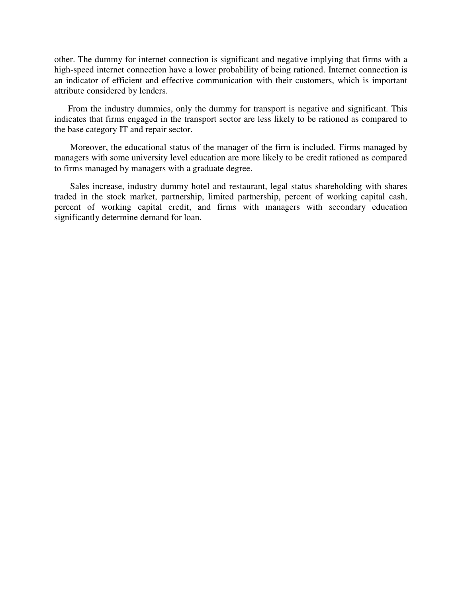other. The dummy for internet connection is significant and negative implying that firms with a high-speed internet connection have a lower probability of being rationed. Internet connection is an indicator of efficient and effective communication with their customers, which is important attribute considered by lenders.

 From the industry dummies, only the dummy for transport is negative and significant. This indicates that firms engaged in the transport sector are less likely to be rationed as compared to the base category IT and repair sector.

 Moreover, the educational status of the manager of the firm is included. Firms managed by managers with some university level education are more likely to be credit rationed as compared to firms managed by managers with a graduate degree.

 Sales increase, industry dummy hotel and restaurant, legal status shareholding with shares traded in the stock market, partnership, limited partnership, percent of working capital cash, percent of working capital credit, and firms with managers with secondary education significantly determine demand for loan.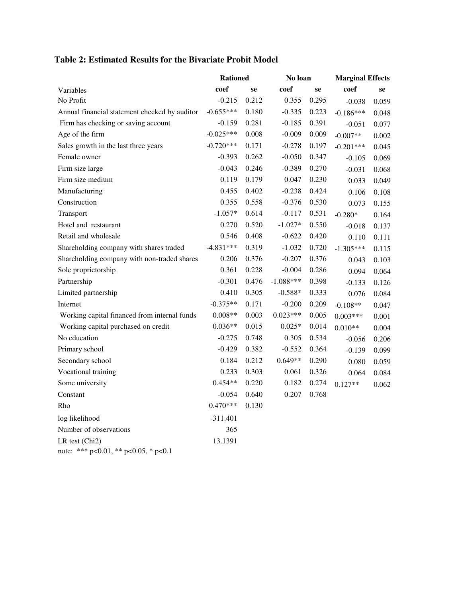|  |  |  | Table 2: Estimated Results for the Bivariate Probit Model |  |  |  |  |  |  |
|--|--|--|-----------------------------------------------------------|--|--|--|--|--|--|
|--|--|--|-----------------------------------------------------------|--|--|--|--|--|--|

|                                                        | <b>Rationed</b> |       | No loan     |       | <b>Marginal Effects</b> |       |
|--------------------------------------------------------|-----------------|-------|-------------|-------|-------------------------|-------|
| Variables                                              | coef            | se    | coef        | se    | coef                    | se    |
| No Profit                                              | $-0.215$        | 0.212 | 0.355       | 0.295 | $-0.038$                | 0.059 |
| Annual financial statement checked by auditor          | $-0.655***$     | 0.180 | $-0.335$    | 0.223 | $-0.186***$             | 0.048 |
| Firm has checking or saving account                    | $-0.159$        | 0.281 | $-0.185$    | 0.391 | $-0.051$                | 0.077 |
| Age of the firm                                        | $-0.025***$     | 0.008 | $-0.009$    | 0.009 | $-0.007**$              | 0.002 |
| Sales growth in the last three years                   | $-0.720***$     | 0.171 | $-0.278$    | 0.197 | $-0.201***$             | 0.045 |
| Female owner                                           | $-0.393$        | 0.262 | $-0.050$    | 0.347 | $-0.105$                | 0.069 |
| Firm size large                                        | $-0.043$        | 0.246 | $-0.389$    | 0.270 | $-0.031$                | 0.068 |
| Firm size medium                                       | 0.119           | 0.179 | 0.047       | 0.230 | 0.033                   | 0.049 |
| Manufacturing                                          | 0.455           | 0.402 | $-0.238$    | 0.424 | 0.106                   | 0.108 |
| Construction                                           | 0.355           | 0.558 | $-0.376$    | 0.530 | 0.073                   | 0.155 |
| Transport                                              | $-1.057*$       | 0.614 | $-0.117$    | 0.531 | $-0.280*$               | 0.164 |
| Hotel and restaurant                                   | 0.270           | 0.520 | $-1.027*$   | 0.550 | $-0.018$                | 0.137 |
| Retail and wholesale                                   | 0.546           | 0.408 | $-0.622$    | 0.420 | 0.110                   | 0.111 |
| Shareholding company with shares traded                | $-4.831***$     | 0.319 | $-1.032$    | 0.720 | $-1.305***$             | 0.115 |
| Shareholding company with non-traded shares            | 0.206           | 0.376 | $-0.207$    | 0.376 | 0.043                   | 0.103 |
| Sole proprietorship                                    | 0.361           | 0.228 | $-0.004$    | 0.286 | 0.094                   | 0.064 |
| Partnership                                            | $-0.301$        | 0.476 | $-1.088***$ | 0.398 | $-0.133$                | 0.126 |
| Limited partnership                                    | 0.410           | 0.305 | $-0.588*$   | 0.333 | 0.076                   | 0.084 |
| Internet                                               | $-0.375**$      | 0.171 | $-0.200$    | 0.209 | $-0.108**$              | 0.047 |
| Working capital financed from internal funds           | $0.008**$       | 0.003 | $0.023***$  | 0.005 | $0.003***$              | 0.001 |
| Working capital purchased on credit                    | $0.036**$       | 0.015 | $0.025*$    | 0.014 | $0.010**$               | 0.004 |
| No education                                           | $-0.275$        | 0.748 | 0.305       | 0.534 | $-0.056$                | 0.206 |
| Primary school                                         | $-0.429$        | 0.382 | $-0.552$    | 0.364 | $-0.139$                | 0.099 |
| Secondary school                                       | 0.184           | 0.212 | $0.649**$   | 0.290 | 0.080                   | 0.059 |
| Vocational training                                    | 0.233           | 0.303 | 0.061       | 0.326 | 0.064                   | 0.084 |
| Some university                                        | $0.454**$       | 0.220 | 0.182       | 0.274 | $0.127**$               | 0.062 |
| Constant                                               | $-0.054$        | 0.640 | 0.207       | 0.768 |                         |       |
| Rho                                                    | $0.470***$      | 0.130 |             |       |                         |       |
| log likelihood                                         | $-311.401$      |       |             |       |                         |       |
| Number of observations                                 | 365             |       |             |       |                         |       |
| LR test (Chi2)<br>note: *** p<0.01, ** p<0.05, * p<0.1 | 13.1391         |       |             |       |                         |       |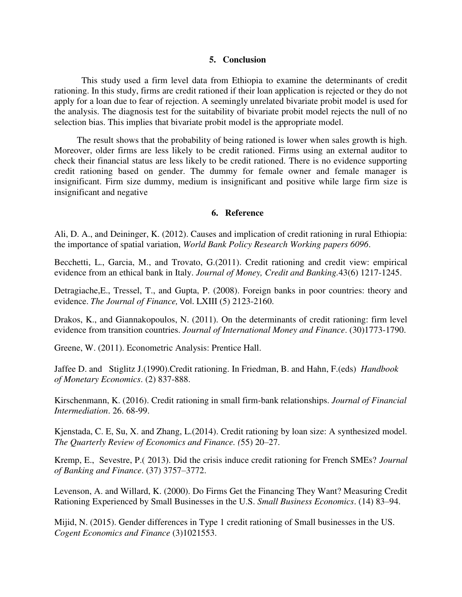#### **5. Conclusion**

 This study used a firm level data from Ethiopia to examine the determinants of credit rationing. In this study, firms are credit rationed if their loan application is rejected or they do not apply for a loan due to fear of rejection. A seemingly unrelated bivariate probit model is used for the analysis. The diagnosis test for the suitability of bivariate probit model rejects the null of no selection bias. This implies that bivariate probit model is the appropriate model.

 The result shows that the probability of being rationed is lower when sales growth is high. Moreover, older firms are less likely to be credit rationed. Firms using an external auditor to check their financial status are less likely to be credit rationed. There is no evidence supporting credit rationing based on gender. The dummy for female owner and female manager is insignificant. Firm size dummy, medium is insignificant and positive while large firm size is insignificant and negative

#### **6. Reference**

Ali, D. A., and Deininger, K. (2012). Causes and implication of credit rationing in rural Ethiopia: the importance of spatial variation, *World Bank Policy Research Working papers 6096*.

Becchetti, L., Garcia, M., and Trovato, G.(2011). Credit rationing and credit view: empirical evidence from an ethical bank in Italy. *Journal of Money, Credit and Banking.*43(6) 1217-1245.

Detragiache,E., Tressel, T., and Gupta, P. (2008). Foreign banks in poor countries: theory and evidence. *The Journal of Finance,* Vol. LXIII (5) 2123-2160.

Drakos, K., and Giannakopoulos, N. (2011). On the determinants of credit rationing: firm level evidence from transition countries. *Journal of International Money and Finance*. (30)1773-1790.

Greene, W. (2011). Econometric Analysis: Prentice Hall.

Jaffee D. and Stiglitz J.(1990).Credit rationing. In Friedman, B. and Hahn, F.(eds) *Handbook of Monetary Economics*. (2) 837-888.

Kirschenmann, K. (2016). Credit rationing in small firm-bank relationships. *Journal of Financial Intermediation*. 26. 68-99.

Kjenstada, C. E, Su, X. and Zhang, L.(2014). Credit rationing by loan size: A synthesized model. *The Quarterly Review of Economics and Finance. (*55) 20–27.

Kremp, E., Sevestre, P.( 2013). Did the crisis induce credit rationing for French SMEs? *Journal of Banking and Finance*. (37) 3757–3772.

Levenson, A. and Willard, K. (2000). Do Firms Get the Financing They Want? Measuring Credit Rationing Experienced by Small Businesses in the U.S. *Small Business Economics*. (14) 83–94.

Mijid, N. (2015). Gender differences in Type 1 credit rationing of Small businesses in the US. *Cogent Economics and Finance* (3)1021553.